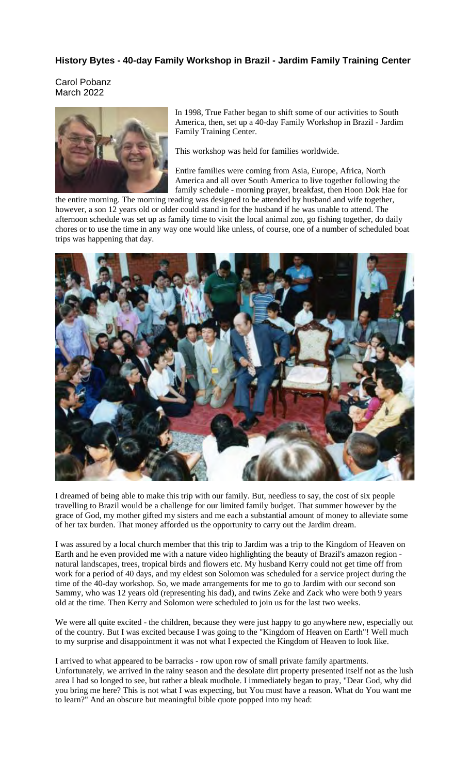## **History Bytes - 40-day Family Workshop in Brazil - Jardim Family Training Center**

Carol Pobanz March 2022



In 1998, True Father began to shift some of our activities to South America, then, set up a 40-day Family Workshop in Brazil - Jardim Family Training Center.

This workshop was held for families worldwide.

Entire families were coming from Asia, Europe, Africa, North America and all over South America to live together following the family schedule - morning prayer, breakfast, then Hoon Dok Hae for

the entire morning. The morning reading was designed to be attended by husband and wife together, however, a son 12 years old or older could stand in for the husband if he was unable to attend. The afternoon schedule was set up as family time to visit the local animal zoo, go fishing together, do daily chores or to use the time in any way one would like unless, of course, one of a number of scheduled boat trips was happening that day.



I dreamed of being able to make this trip with our family. But, needless to say, the cost of six people travelling to Brazil would be a challenge for our limited family budget. That summer however by the grace of God, my mother gifted my sisters and me each a substantial amount of money to alleviate some of her tax burden. That money afforded us the opportunity to carry out the Jardim dream.

I was assured by a local church member that this trip to Jardim was a trip to the Kingdom of Heaven on Earth and he even provided me with a nature video highlighting the beauty of Brazil's amazon region natural landscapes, trees, tropical birds and flowers etc. My husband Kerry could not get time off from work for a period of 40 days, and my eldest son Solomon was scheduled for a service project during the time of the 40-day workshop. So, we made arrangements for me to go to Jardim with our second son Sammy, who was 12 years old (representing his dad), and twins Zeke and Zack who were both 9 years old at the time. Then Kerry and Solomon were scheduled to join us for the last two weeks.

We were all quite excited - the children, because they were just happy to go anywhere new, especially out of the country. But I was excited because I was going to the "Kingdom of Heaven on Earth"! Well much to my surprise and disappointment it was not what I expected the Kingdom of Heaven to look like.

I arrived to what appeared to be barracks - row upon row of small private family apartments. Unfortunately, we arrived in the rainy season and the desolate dirt property presented itself not as the lush area I had so longed to see, but rather a bleak mudhole. I immediately began to pray, "Dear God, why did you bring me here? This is not what I was expecting, but You must have a reason. What do You want me to learn?" And an obscure but meaningful bible quote popped into my head: